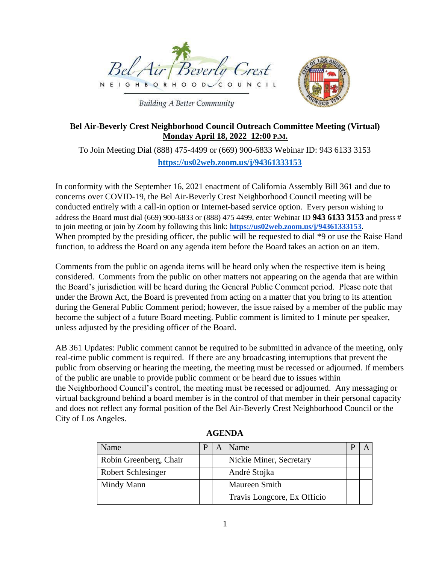



**Building A Better Community** 

# **Bel Air-Beverly Crest Neighborhood Council Outreach Committee Meeting (Virtual) Monday April 18, 2022 12:00 P.M.**

To Join Meeting Dial (888) 475-4499 or (669) 900-6833 Webinar ID: 943 6133 3153 **<https://us02web.zoom.us/j/94361333153>**

In conformity with the September 16, 2021 enactment of California Assembly Bill 361 and due to concerns over COVID-19, the Bel Air-Beverly Crest Neighborhood Council meeting will be conducted entirely with a call-in option or Internet-based service option. Every person wishing to address the Board must dial (669) 900-6833 or (888) 475 4499, enter Webinar ID **943 6133 3153** and press # to join meeting or join by Zoom by following this link: **https://us02web.zoom.us/j/94361333153**. When prompted by the presiding officer, the public will be requested to dial  $*9$  or use the Raise Hand function, to address the Board on any agenda item before the Board takes an action on an item.

Comments from the public on agenda items will be heard only when the respective item is being considered. Comments from the public on other matters not appearing on the agenda that are within the Board's jurisdiction will be heard during the General Public Comment period. Please note that under the Brown Act, the Board is prevented from acting on a matter that you bring to its attention during the General Public Comment period; however, the issue raised by a member of the public may become the subject of a future Board meeting. Public comment is limited to 1 minute per speaker, unless adjusted by the presiding officer of the Board.

AB 361 Updates: Public comment cannot be required to be submitted in advance of the meeting, only real-time public comment is required. If there are any broadcasting interruptions that prevent the public from observing or hearing the meeting, the meeting must be recessed or adjourned. If members of the public are unable to provide public comment or be heard due to issues within the Neighborhood Council's control, the meeting must be recessed or adjourned. Any messaging or virtual background behind a board member is in the control of that member in their personal capacity and does not reflect any formal position of the Bel Air-Beverly Crest Neighborhood Council or the City of Los Angeles.

| Name                      |  | Name                        |  |
|---------------------------|--|-----------------------------|--|
| Robin Greenberg, Chair    |  | Nickie Miner, Secretary     |  |
| <b>Robert Schlesinger</b> |  | André Stojka                |  |
| Mindy Mann                |  | <b>Maureen Smith</b>        |  |
|                           |  | Travis Longcore, Ex Officio |  |

**AGENDA**